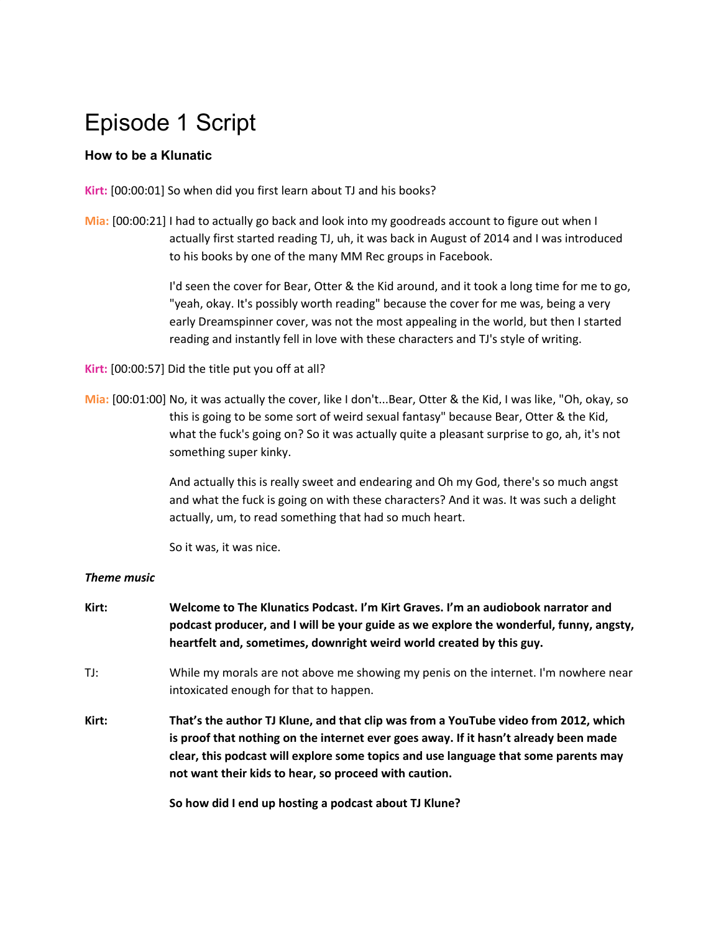# Episode 1 Script

# **How to be a Klunatic**

**Kirt:** [00:00:01] So when did you first learn about TJ and his books?

**Mia:** [00:00:21] I had to actually go back and look into my goodreads account to figure out when I actually first started reading TJ, uh, it was back in August of 2014 and I was introduced to his books by one of the many MM Rec groups in Facebook.

> I'd seen the cover for Bear, Otter & the Kid around, and it took a long time for me to go, "yeah, okay. It's possibly worth reading" because the cover for me was, being a very early Dreamspinner cover, was not the most appealing in the world, but then I started reading and instantly fell in love with these characters and TJ's style of writing.

**Kirt:** [00:00:57] Did the title put you off at all?

**Mia:** [00:01:00] No, it was actually the cover, like I don't...Bear, Otter & the Kid, I was like, "Oh, okay, so this is going to be some sort of weird sexual fantasy" because Bear, Otter & the Kid, what the fuck's going on? So it was actually quite a pleasant surprise to go, ah, it's not something super kinky.

> And actually this is really sweet and endearing and Oh my God, there's so much angst and what the fuck is going on with these characters? And it was. It was such a delight actually, um, to read something that had so much heart.

So it was, it was nice.

#### *Theme music*

**Kirt: Welcome to The Klunatics Podcast. I'm Kirt Graves. I'm an audiobook narrator and podcast producer, and I will be your guide as we explore the wonderful, funny, angsty, heartfelt and, sometimes, downright weird world created by this guy.** TJ: While my morals are not above me showing my penis on the internet. I'm nowhere near intoxicated enough for that to happen. **Kirt: That's the author TJ Klune, and that clip was from a YouTube video from 2012, which is proof that nothing on the internet ever goes away. If it hasn't already been made clear, this podcast will explore some topics and use language that some parents may not want their kids to hear, so proceed with caution.**

**So how did I end up hosting a podcast about TJ Klune?**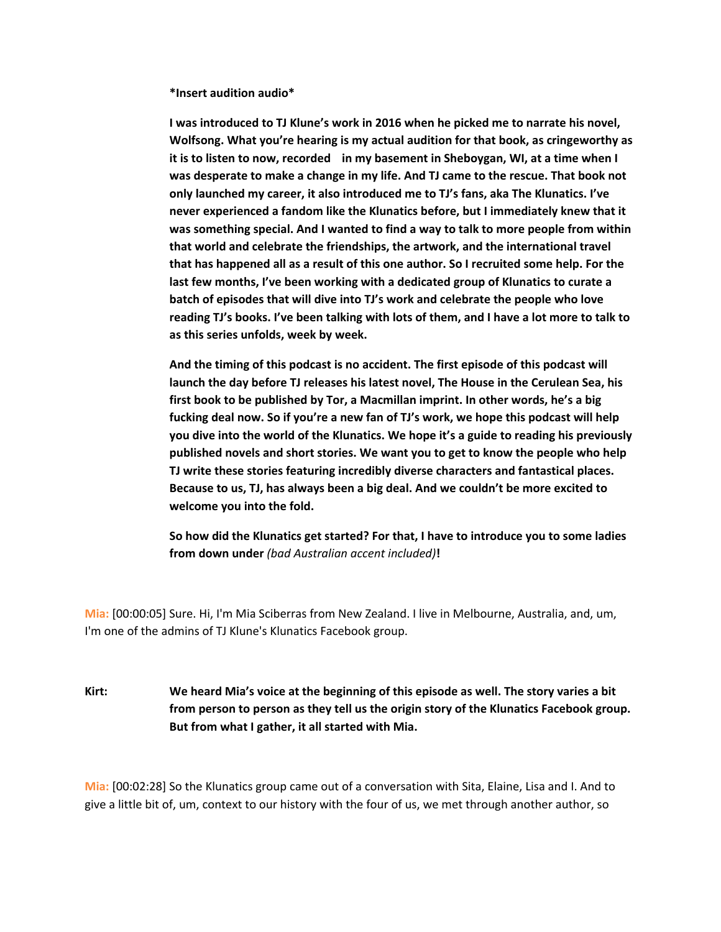**\*Insert audition audio\***

**I was introduced to TJ Klune's work in 2016 when he picked me to narrate his novel, Wolfsong. What you're hearing is my actual audition for that book, as cringeworthy as it is to listen to now, recorded in my basement in Sheboygan, WI, at a time when I was desperate to make a change in my life. And TJ came to the rescue. That book not only launched my career, it also introduced me to TJ's fans, aka The Klunatics. I've never experienced a fandom like the Klunatics before, but I immediately knew that it was something special. And I wanted to find a way to talk to more people from within that world and celebrate the friendships, the artwork, and the international travel that has happened all as a result of this one author. So I recruited some help. For the last few months, I've been working with a dedicated group of Klunatics to curate a batch of episodes that will dive into TJ's work and celebrate the people who love reading TJ's books. I've been talking with lots of them, and I have a lot more to talk to as this series unfolds, week by week.**

**And the timing of this podcast is no accident. The first episode of this podcast will launch the day before TJ releases his latest novel, The House in the Cerulean Sea, his first book to be published by Tor, a Macmillan imprint. In other words, he's a big fucking deal now. So if you're a new fan of TJ's work, we hope this podcast will help you dive into the world of the Klunatics. We hope it's a guide to reading his previously published novels and short stories. We want you to get to know the people who help TJ write these stories featuring incredibly diverse characters and fantastical places. Because to us, TJ, has always been a big deal. And we couldn't be more excited to welcome you into the fold.**

**So how did the Klunatics get started? For that, I have to introduce you to some ladies from down under** *(bad Australian accent included)***!**

**Mia:** [00:00:05] Sure. Hi, I'm Mia Sciberras from New Zealand. I live in Melbourne, Australia, and, um, I'm one of the admins of TJ Klune's Klunatics Facebook group.

**Kirt: We heard Mia's voice at the beginning of this episode as well. The story varies a bit from person to person as they tell us the origin story of the Klunatics Facebook group. But from what I gather, it all started with Mia.**

**Mia:** [00:02:28] So the Klunatics group came out of a conversation with Sita, Elaine, Lisa and I. And to give a little bit of, um, context to our history with the four of us, we met through another author, so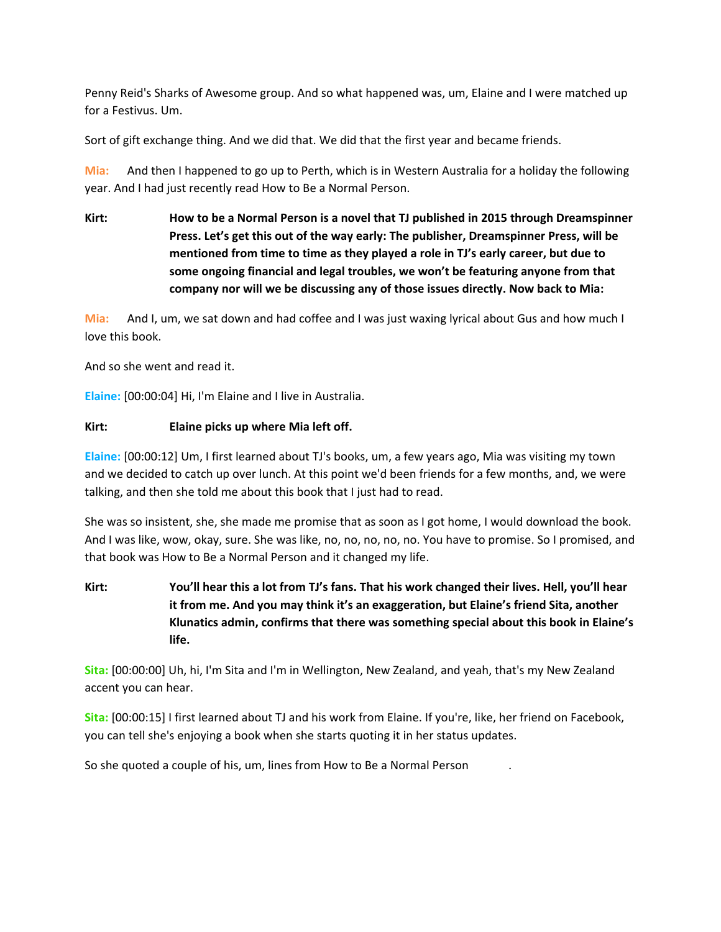Penny Reid's Sharks of Awesome group. And so what happened was, um, Elaine and I were matched up for a Festivus. Um.

Sort of gift exchange thing. And we did that. We did that the first year and became friends.

**Mia:** And then I happened to go up to Perth, which is in Western Australia for a holiday the following year. And I had just recently read How to Be a Normal Person.

**Kirt: How to be a Normal Person is a novel that TJ published in 2015 through Dreamspinner Press. Let's get this out of the way early: The publisher, Dreamspinner Press, will be mentioned from time to time as they played a role in TJ's early career, but due to some ongoing financial and legal troubles, we won't be featuring anyone from that company nor will we be discussing any of those issues directly. Now back to Mia:**

**Mia:** And I, um, we sat down and had coffee and I was just waxing lyrical about Gus and how much I love this book.

And so she went and read it.

**Elaine:** [00:00:04] Hi, I'm Elaine and I live in Australia.

#### **Kirt: Elaine picks up where Mia left off.**

**Elaine:** [00:00:12] Um, I first learned about TJ's books, um, a few years ago, Mia was visiting my town and we decided to catch up over lunch. At this point we'd been friends for a few months, and, we were talking, and then she told me about this book that I just had to read.

She was so insistent, she, she made me promise that as soon as I got home, I would download the book. And I was like, wow, okay, sure. She was like, no, no, no, no, no. You have to promise. So I promised, and that book was How to Be a Normal Person and it changed my life.

**Kirt: You'll hear this a lot from TJ's fans. That his work changed their lives. Hell, you'll hear it from me. And you may think it's an exaggeration, but Elaine's friend Sita, another Klunatics admin, confirms that there was something special about this book in Elaine's life.**

**Sita:** [00:00:00] Uh, hi, I'm Sita and I'm in Wellington, New Zealand, and yeah, that's my New Zealand accent you can hear.

**Sita:** [00:00:15] I first learned about TJ and his work from Elaine. If you're, like, her friend on Facebook, you can tell she's enjoying a book when she starts quoting it in her status updates.

So she quoted a couple of his, um, lines from How to Be a Normal Person .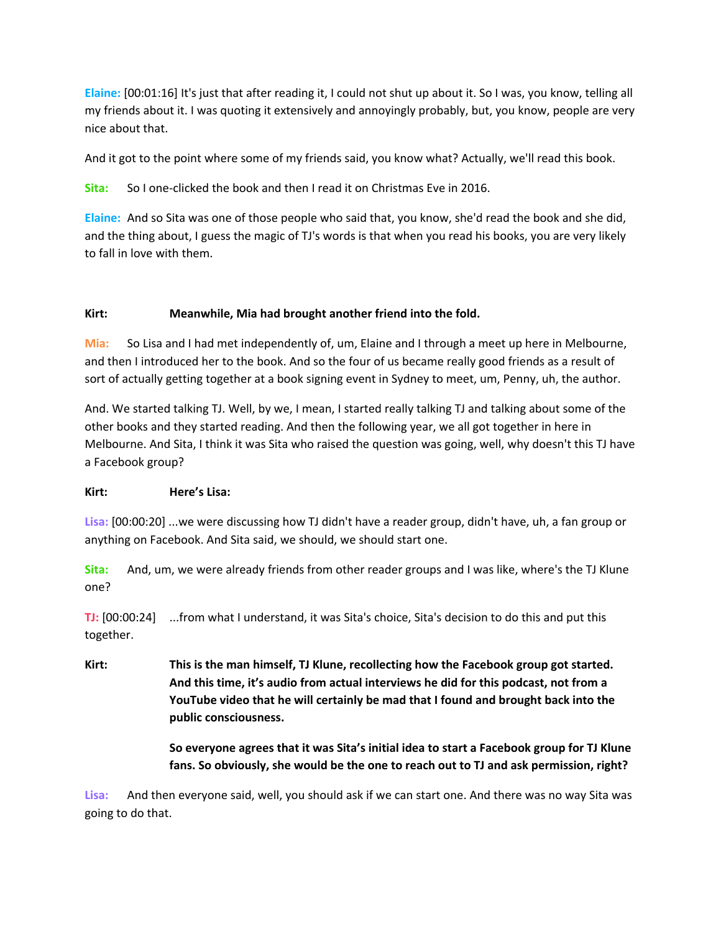**Elaine:** [00:01:16] It's just that after reading it, I could not shut up about it. So I was, you know, telling all my friends about it. I was quoting it extensively and annoyingly probably, but, you know, people are very nice about that.

And it got to the point where some of my friends said, you know what? Actually, we'll read this book.

**Sita:** So I one-clicked the book and then I read it on Christmas Eve in 2016.

**Elaine:** And so Sita was one of those people who said that, you know, she'd read the book and she did, and the thing about, I guess the magic of TJ's words is that when you read his books, you are very likely to fall in love with them.

#### **Kirt: Meanwhile, Mia had brought another friend into the fold.**

**Mia:** So Lisa and I had met independently of, um, Elaine and I through a meet up here in Melbourne, and then I introduced her to the book. And so the four of us became really good friends as a result of sort of actually getting together at a book signing event in Sydney to meet, um, Penny, uh, the author.

And. We started talking TJ. Well, by we, I mean, I started really talking TJ and talking about some of the other books and they started reading. And then the following year, we all got together in here in Melbourne. And Sita, I think it was Sita who raised the question was going, well, why doesn't this TJ have a Facebook group?

#### **Kirt: Here's Lisa:**

**Lisa:** [00:00:20] ...we were discussing how TJ didn't have a reader group, didn't have, uh, a fan group or anything on Facebook. And Sita said, we should, we should start one.

**Sita:** And, um, we were already friends from other reader groups and I was like, where's the TJ Klune one?

**TJ:** [00:00:24] ...from what I understand, it was Sita's choice, Sita's decision to do this and put this together.

**Kirt: This is the man himself, TJ Klune, recollecting how the Facebook group got started. And this time, it's audio from actual interviews he did for this podcast, not from a YouTube video that he will certainly be mad that I found and brought back into the public consciousness.**

> **So everyone agrees that it was Sita's initial idea to start a Facebook group for TJ Klune fans. So obviously, she would be the one to reach out to TJ and ask permission, right?**

**Lisa:** And then everyone said, well, you should ask if we can start one. And there was no way Sita was going to do that.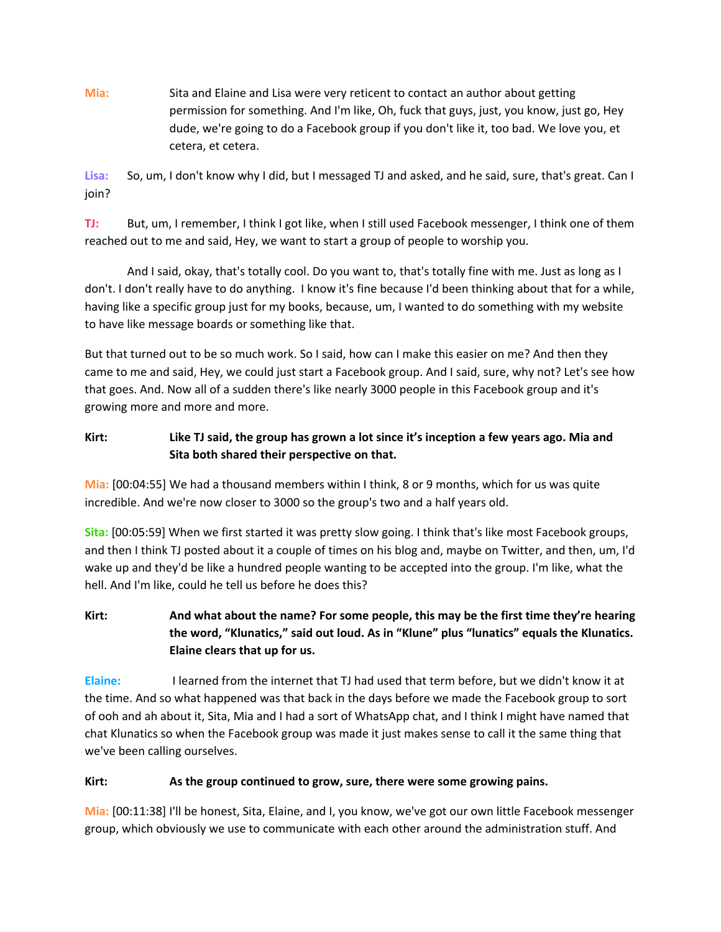**Mia:** Sita and Elaine and Lisa were very reticent to contact an author about getting permission for something. And I'm like, Oh, fuck that guys, just, you know, just go, Hey dude, we're going to do a Facebook group if you don't like it, too bad. We love you, et cetera, et cetera.

**Lisa:** So, um, I don't know why I did, but I messaged TJ and asked, and he said, sure, that's great. Can I join?

**TJ:** But, um, I remember, I think I got like, when I still used Facebook messenger, I think one of them reached out to me and said, Hey, we want to start a group of people to worship you.

And I said, okay, that's totally cool. Do you want to, that's totally fine with me. Just as long as I don't. I don't really have to do anything. I know it's fine because I'd been thinking about that for a while, having like a specific group just for my books, because, um, I wanted to do something with my website to have like message boards or something like that.

But that turned out to be so much work. So I said, how can I make this easier on me? And then they came to me and said, Hey, we could just start a Facebook group. And I said, sure, why not? Let's see how that goes. And. Now all of a sudden there's like nearly 3000 people in this Facebook group and it's growing more and more and more.

# **Kirt: Like TJ said, the group has grown a lot since it's inception a few years ago. Mia and Sita both shared their perspective on that.**

**Mia:** [00:04:55] We had a thousand members within I think, 8 or 9 months, which for us was quite incredible. And we're now closer to 3000 so the group's two and a half years old.

**Sita:** [00:05:59] When we first started it was pretty slow going. I think that's like most Facebook groups, and then I think TJ posted about it a couple of times on his blog and, maybe on Twitter, and then, um, I'd wake up and they'd be like a hundred people wanting to be accepted into the group. I'm like, what the hell. And I'm like, could he tell us before he does this?

**Kirt: And what about the name? For some people, this may be the first time they're hearing the word, "Klunatics," said out loud. As in "Klune" plus "lunatics" equals the Klunatics. Elaine clears that up for us.**

**Elaine:** I learned from the internet that TJ had used that term before, but we didn't know it at the time. And so what happened was that back in the days before we made the Facebook group to sort of ooh and ah about it, Sita, Mia and I had a sort of WhatsApp chat, and I think I might have named that chat Klunatics so when the Facebook group was made it just makes sense to call it the same thing that we've been calling ourselves.

#### **Kirt: As the group continued to grow, sure, there were some growing pains.**

**Mia:** [00:11:38] I'll be honest, Sita, Elaine, and I, you know, we've got our own little Facebook messenger group, which obviously we use to communicate with each other around the administration stuff. And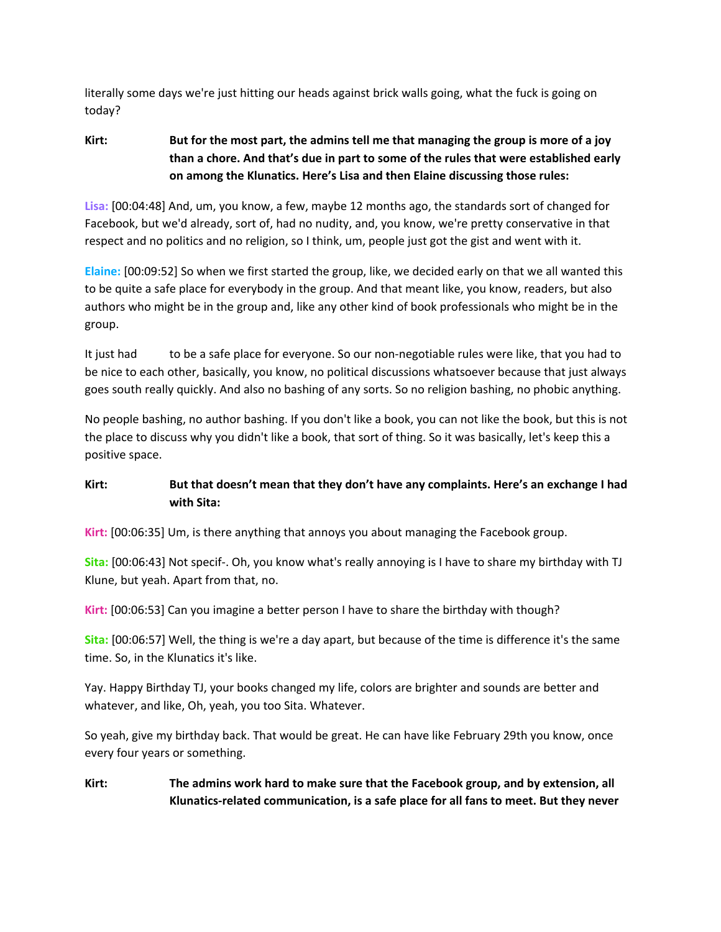literally some days we're just hitting our heads against brick walls going, what the fuck is going on today?

## **Kirt: But for the most part, the admins tell me that managing the group is more of a joy than a chore. And that's due in part to some of the rules that were established early on among the Klunatics. Here's Lisa and then Elaine discussing those rules:**

**Lisa:** [00:04:48] And, um, you know, a few, maybe 12 months ago, the standards sort of changed for Facebook, but we'd already, sort of, had no nudity, and, you know, we're pretty conservative in that respect and no politics and no religion, so I think, um, people just got the gist and went with it.

**Elaine:** [00:09:52] So when we first started the group, like, we decided early on that we all wanted this to be quite a safe place for everybody in the group. And that meant like, you know, readers, but also authors who might be in the group and, like any other kind of book professionals who might be in the group.

It just had to be a safe place for everyone. So our non-negotiable rules were like, that you had to be nice to each other, basically, you know, no political discussions whatsoever because that just always goes south really quickly. And also no bashing of any sorts. So no religion bashing, no phobic anything.

No people bashing, no author bashing. If you don't like a book, you can not like the book, but this is not the place to discuss why you didn't like a book, that sort of thing. So it was basically, let's keep this a positive space.

## **Kirt: But that doesn't mean that they don't have any complaints. Here's an exchange I had with Sita:**

**Kirt:** [00:06:35] Um, is there anything that annoys you about managing the Facebook group.

**Sita:** [00:06:43] Not specif-. Oh, you know what's really annoying is I have to share my birthday with TJ Klune, but yeah. Apart from that, no.

**Kirt:** [00:06:53] Can you imagine a better person I have to share the birthday with though?

**Sita:** [00:06:57] Well, the thing is we're a day apart, but because of the time is difference it's the same time. So, in the Klunatics it's like.

Yay. Happy Birthday TJ, your books changed my life, colors are brighter and sounds are better and whatever, and like, Oh, yeah, you too Sita. Whatever.

So yeah, give my birthday back. That would be great. He can have like February 29th you know, once every four years or something.

## **Kirt: The admins work hard to make sure that the Facebook group, and by extension, all Klunatics-related communication, is a safe place for all fans to meet. But they never**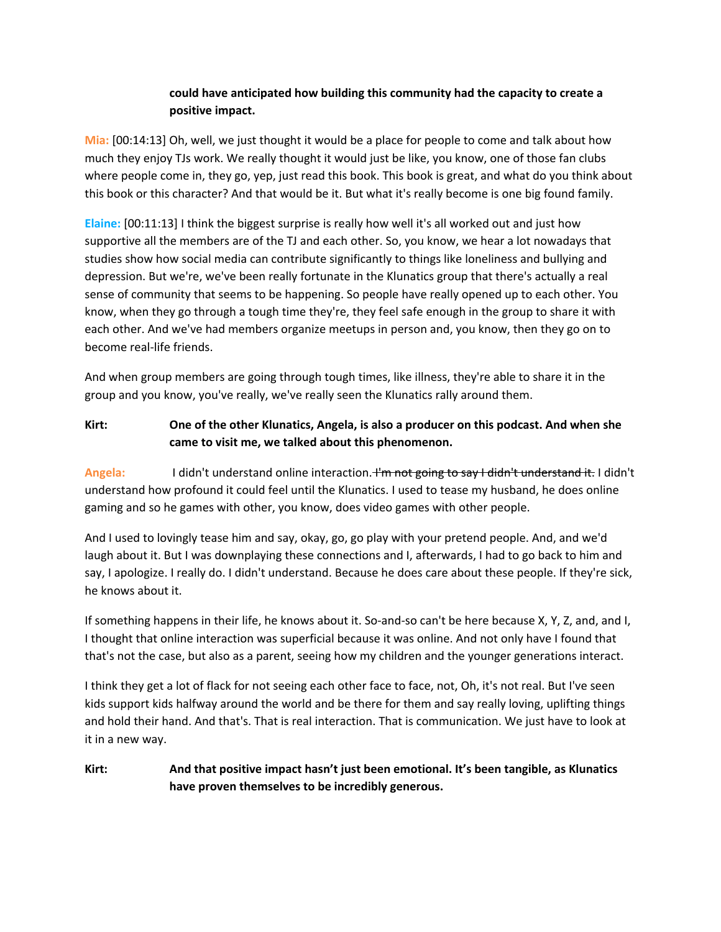### **could have anticipated how building this community had the capacity to create a positive impact.**

**Mia:** [00:14:13] Oh, well, we just thought it would be a place for people to come and talk about how much they enjoy TJs work. We really thought it would just be like, you know, one of those fan clubs where people come in, they go, yep, just read this book. This book is great, and what do you think about this book or this character? And that would be it. But what it's really become is one big found family.

**Elaine:** [00:11:13] I think the biggest surprise is really how well it's all worked out and just how supportive all the members are of the TJ and each other. So, you know, we hear a lot nowadays that studies show how social media can contribute significantly to things like loneliness and bullying and depression. But we're, we've been really fortunate in the Klunatics group that there's actually a real sense of community that seems to be happening. So people have really opened up to each other. You know, when they go through a tough time they're, they feel safe enough in the group to share it with each other. And we've had members organize meetups in person and, you know, then they go on to become real-life friends.

And when group members are going through tough times, like illness, they're able to share it in the group and you know, you've really, we've really seen the Klunatics rally around them.

### **Kirt: One of the other Klunatics, Angela, is also a producer on this podcast. And when she came to visit me, we talked about this phenomenon.**

Angela: I didn't understand online interaction. I'm not going to say I didn't understand it. I didn't understand how profound it could feel until the Klunatics. I used to tease my husband, he does online gaming and so he games with other, you know, does video games with other people.

And I used to lovingly tease him and say, okay, go, go play with your pretend people. And, and we'd laugh about it. But I was downplaying these connections and I, afterwards, I had to go back to him and say, I apologize. I really do. I didn't understand. Because he does care about these people. If they're sick, he knows about it.

If something happens in their life, he knows about it. So-and-so can't be here because X, Y, Z, and, and I, I thought that online interaction was superficial because it was online. And not only have I found that that's not the case, but also as a parent, seeing how my children and the younger generations interact.

I think they get a lot of flack for not seeing each other face to face, not, Oh, it's not real. But I've seen kids support kids halfway around the world and be there for them and say really loving, uplifting things and hold their hand. And that's. That is real interaction. That is communication. We just have to look at it in a new way.

## **Kirt: And that positive impact hasn't just been emotional. It's been tangible, as Klunatics have proven themselves to be incredibly generous.**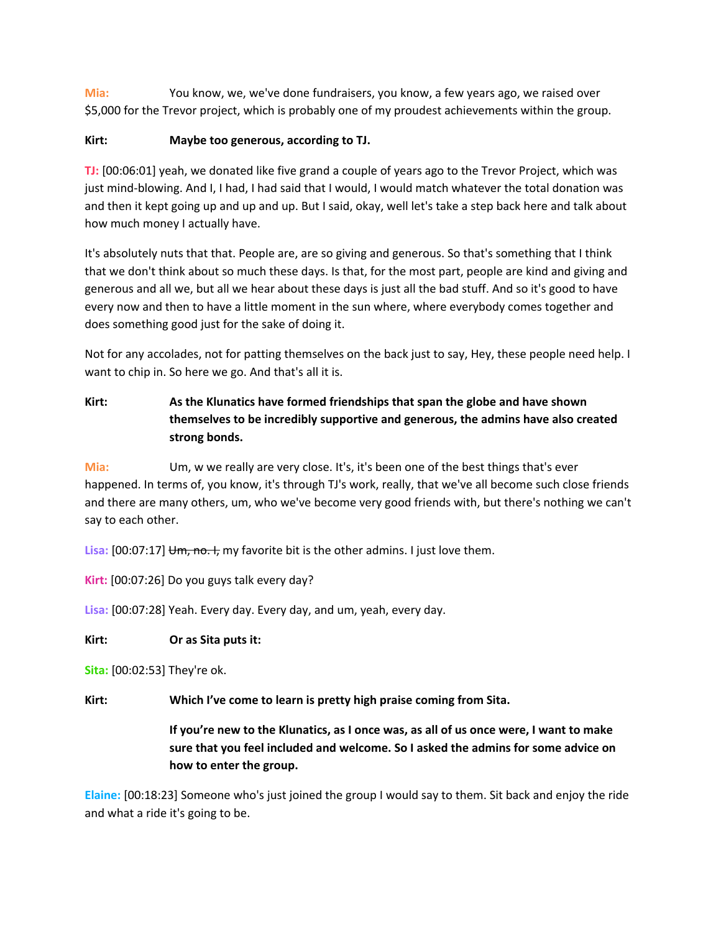**Mia:** You know, we, we've done fundraisers, you know, a few years ago, we raised over \$5,000 for the Trevor project, which is probably one of my proudest achievements within the group.

#### **Kirt: Maybe too generous, according to TJ.**

**TJ:** [00:06:01] yeah, we donated like five grand a couple of years ago to the Trevor Project, which was just mind-blowing. And I, I had, I had said that I would, I would match whatever the total donation was and then it kept going up and up and up. But I said, okay, well let's take a step back here and talk about how much money I actually have.

It's absolutely nuts that that. People are, are so giving and generous. So that's something that I think that we don't think about so much these days. Is that, for the most part, people are kind and giving and generous and all we, but all we hear about these days is just all the bad stuff. And so it's good to have every now and then to have a little moment in the sun where, where everybody comes together and does something good just for the sake of doing it.

Not for any accolades, not for patting themselves on the back just to say, Hey, these people need help. I want to chip in. So here we go. And that's all it is.

**Kirt: As the Klunatics have formed friendships that span the globe and have shown themselves to be incredibly supportive and generous, the admins have also created strong bonds.**

**Mia:** Um, w we really are very close. It's, it's been one of the best things that's ever happened. In terms of, you know, it's through TJ's work, really, that we've all become such close friends and there are many others, um, who we've become very good friends with, but there's nothing we can't say to each other.

Lisa: [00:07:17] Um, no. I, my favorite bit is the other admins. I just love them.

**Kirt:** [00:07:26] Do you guys talk every day?

**Lisa:** [00:07:28] Yeah. Every day. Every day, and um, yeah, every day.

#### **Kirt: Or as Sita puts it:**

**Sita:** [00:02:53] They're ok.

**Kirt: Which I've come to learn is pretty high praise coming from Sita.**

If you're new to the Klunatics, as I once was, as all of us once were, I want to make **sure that you feel included and welcome. So I asked the admins for some advice on how to enter the group.**

**Elaine:** [00:18:23] Someone who's just joined the group I would say to them. Sit back and enjoy the ride and what a ride it's going to be.